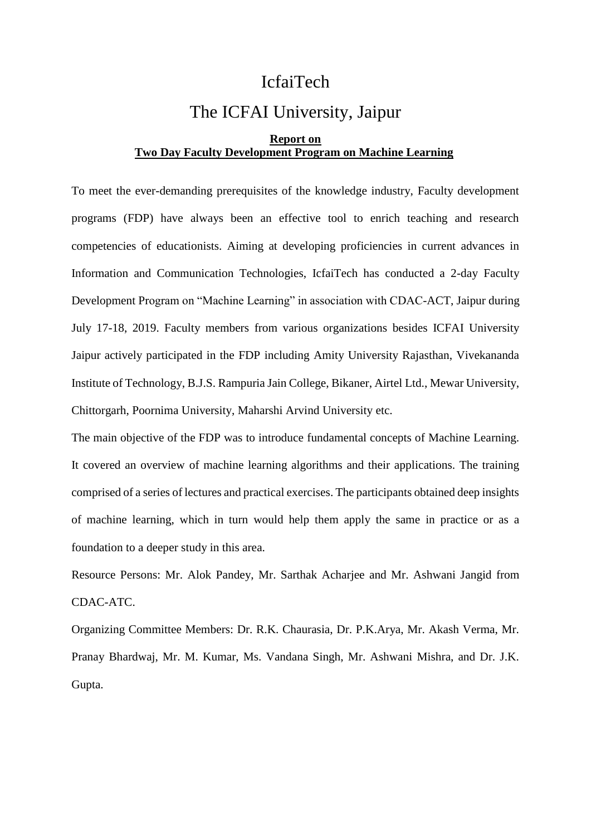## IcfaiTech

# The ICFAI University, Jaipur

#### **Report on Two Day Faculty Development Program on Machine Learning**

To meet the ever-demanding prerequisites of the knowledge industry, Faculty development programs (FDP) have always been an effective tool to enrich teaching and research competencies of educationists. Aiming at developing proficiencies in current advances in Information and Communication Technologies, IcfaiTech has conducted a 2-day Faculty Development Program on "Machine Learning" in association with CDAC-ACT, Jaipur during July 17-18, 2019. Faculty members from various organizations besides ICFAI University Jaipur actively participated in the FDP including Amity University Rajasthan, Vivekananda Institute of Technology, B.J.S. Rampuria Jain College, Bikaner, Airtel Ltd., Mewar University, Chittorgarh, Poornima University, Maharshi Arvind University etc.

The main objective of the FDP was to introduce fundamental concepts of Machine Learning. It covered an overview of machine learning algorithms and their applications. The training comprised of a series of lectures and practical exercises. The participants obtained deep insights of machine learning, which in turn would help them apply the same in practice or as a foundation to a deeper study in this area.

Resource Persons: Mr. Alok Pandey, Mr. Sarthak Acharjee and Mr. Ashwani Jangid from CDAC-ATC.

Organizing Committee Members: Dr. R.K. Chaurasia, Dr. P.K.Arya, Mr. Akash Verma, Mr. Pranay Bhardwaj, Mr. M. Kumar, Ms. Vandana Singh, Mr. Ashwani Mishra, and Dr. J.K. Gupta.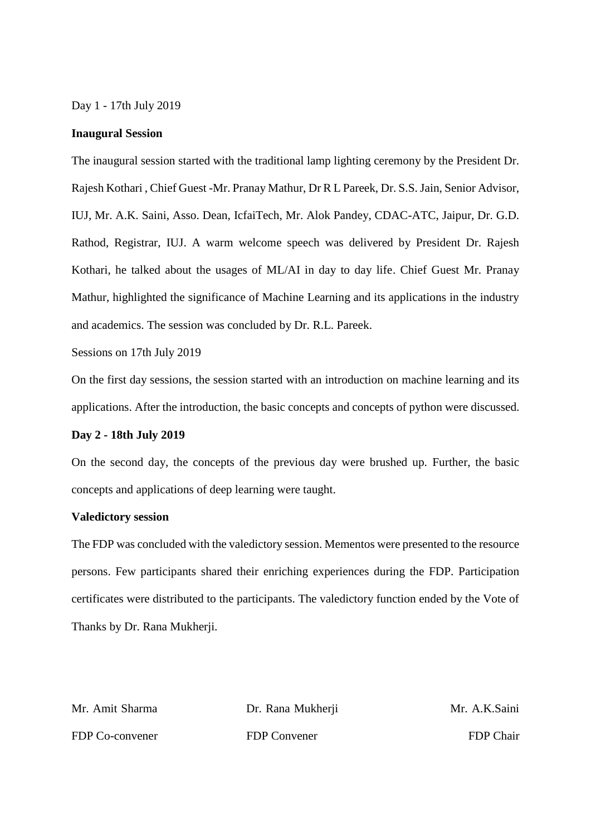Day 1 - 17th July 2019

#### **Inaugural Session**

The inaugural session started with the traditional lamp lighting ceremony by the President Dr. Rajesh Kothari , Chief Guest -Mr. Pranay Mathur, Dr R L Pareek, Dr. S.S. Jain, Senior Advisor, IUJ, Mr. A.K. Saini, Asso. Dean, IcfaiTech, Mr. Alok Pandey, CDAC-ATC, Jaipur, Dr. G.D. Rathod, Registrar, IUJ. A warm welcome speech was delivered by President Dr. Rajesh Kothari, he talked about the usages of ML/AI in day to day life. Chief Guest Mr. Pranay Mathur, highlighted the significance of Machine Learning and its applications in the industry and academics. The session was concluded by Dr. R.L. Pareek.

Sessions on 17th July 2019

On the first day sessions, the session started with an introduction on machine learning and its applications. After the introduction, the basic concepts and concepts of python were discussed.

#### **Day 2 - 18th July 2019**

On the second day, the concepts of the previous day were brushed up. Further, the basic concepts and applications of deep learning were taught.

### **Valedictory session**

The FDP was concluded with the valedictory session. Mementos were presented to the resource persons. Few participants shared their enriching experiences during the FDP. Participation certificates were distributed to the participants. The valedictory function ended by the Vote of Thanks by Dr. Rana Mukherji.

| Mr. Amit Sharma | Dr. Rana Mukherji | Mr. A.K.Saini    |
|-----------------|-------------------|------------------|
| FDP Co-convener | FDP Convener      | <b>FDP</b> Chair |